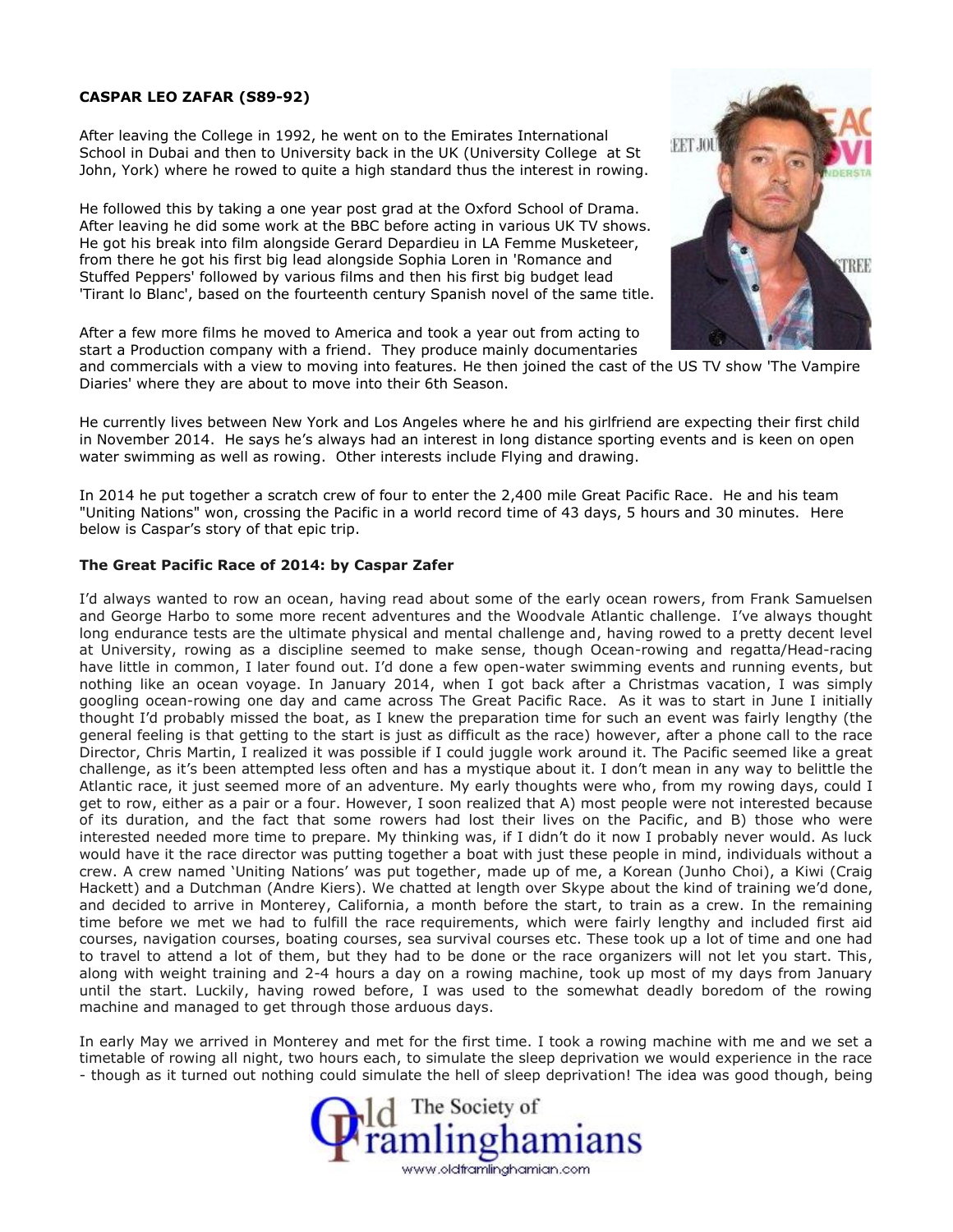## **CASPAR LEO ZAFAR (S89-92)**

After leaving the College in 1992, he went on to the Emirates International School in Dubai and then to University back in the UK (University College at St John, York) where he rowed to quite a high standard thus the interest in rowing.

He followed this by taking a one year post grad at the Oxford School of Drama. After leaving he did some work at the BBC before acting in various UK TV shows. He got his break into film alongside Gerard Depardieu in LA Femme Musketeer, from there he got his first big lead alongside Sophia Loren in 'Romance and Stuffed Peppers' followed by various films and then his first big budget lead 'Tirant lo Blanc', based on the fourteenth century Spanish novel of the same title.

After a few more films he moved to America and took a year out from acting to start a Production company with a friend. They produce mainly documentaries



and commercials with a view to moving into features. He then joined the cast of the US TV show 'The Vampire Diaries' where they are about to move into their 6th Season.

He currently lives between New York and Los Angeles where he and his girlfriend are expecting their first child in November 2014. He says he's always had an interest in long distance sporting events and is keen on open water swimming as well as rowing. Other interests include Flying and drawing.

In 2014 he put together a scratch crew of four to enter the 2,400 mile Great Pacific Race. He and his team "Uniting Nations" won, crossing the Pacific in a world record time of 43 days, 5 hours and 30 minutes. Here below is Caspar's story of that epic trip.

## **The Great Pacific Race of 2014: by Caspar Zafer**

I'd always wanted to row an ocean, having read about some of the early ocean rowers, from Frank Samuelsen and George Harbo to some more recent adventures and the Woodvale Atlantic challenge. I've always thought long endurance tests are the ultimate physical and mental challenge and, having rowed to a pretty decent level at University, rowing as a discipline seemed to make sense, though Ocean-rowing and regatta/Head-racing have little in common, I later found out. I'd done a few open-water swimming events and running events, but nothing like an ocean voyage. In January 2014, when I got back after a Christmas vacation, I was simply googling ocean-rowing one day and came across The Great Pacific Race. As it was to start in June I initially thought I'd probably missed the boat, as I knew the preparation time for such an event was fairly lengthy (the general feeling is that getting to the start is just as difficult as the race) however, after a phone call to the race Director, Chris Martin, I realized it was possible if I could juggle work around it. The Pacific seemed like a great challenge, as it's been attempted less often and has a mystique about it. I don't mean in any way to belittle the Atlantic race, it just seemed more of an adventure. My early thoughts were who, from my rowing days, could I get to row, either as a pair or a four. However, I soon realized that A) most people were not interested because of its duration, and the fact that some rowers had lost their lives on the Pacific, and B) those who were interested needed more time to prepare. My thinking was, if I didn't do it now I probably never would. As luck would have it the race director was putting together a boat with just these people in mind, individuals without a crew. A crew named 'Uniting Nations' was put together, made up of me, a Korean (Junho Choi), a Kiwi (Craig Hackett) and a Dutchman (Andre Kiers). We chatted at length over Skype about the kind of training we'd done, and decided to arrive in Monterey, California, a month before the start, to train as a crew. In the remaining time before we met we had to fulfill the race requirements, which were fairly lengthy and included first aid courses, navigation courses, boating courses, sea survival courses etc. These took up a lot of time and one had to travel to attend a lot of them, but they had to be done or the race organizers will not let you start. This, along with weight training and 2-4 hours a day on a rowing machine, took up most of my days from January until the start. Luckily, having rowed before, I was used to the somewhat deadly boredom of the rowing machine and managed to get through those arduous days.

In early May we arrived in Monterey and met for the first time. I took a rowing machine with me and we set a timetable of rowing all night, two hours each, to simulate the sleep deprivation we would experience in the race - though as it turned out nothing could simulate the hell of sleep deprivation! The idea was good though, being

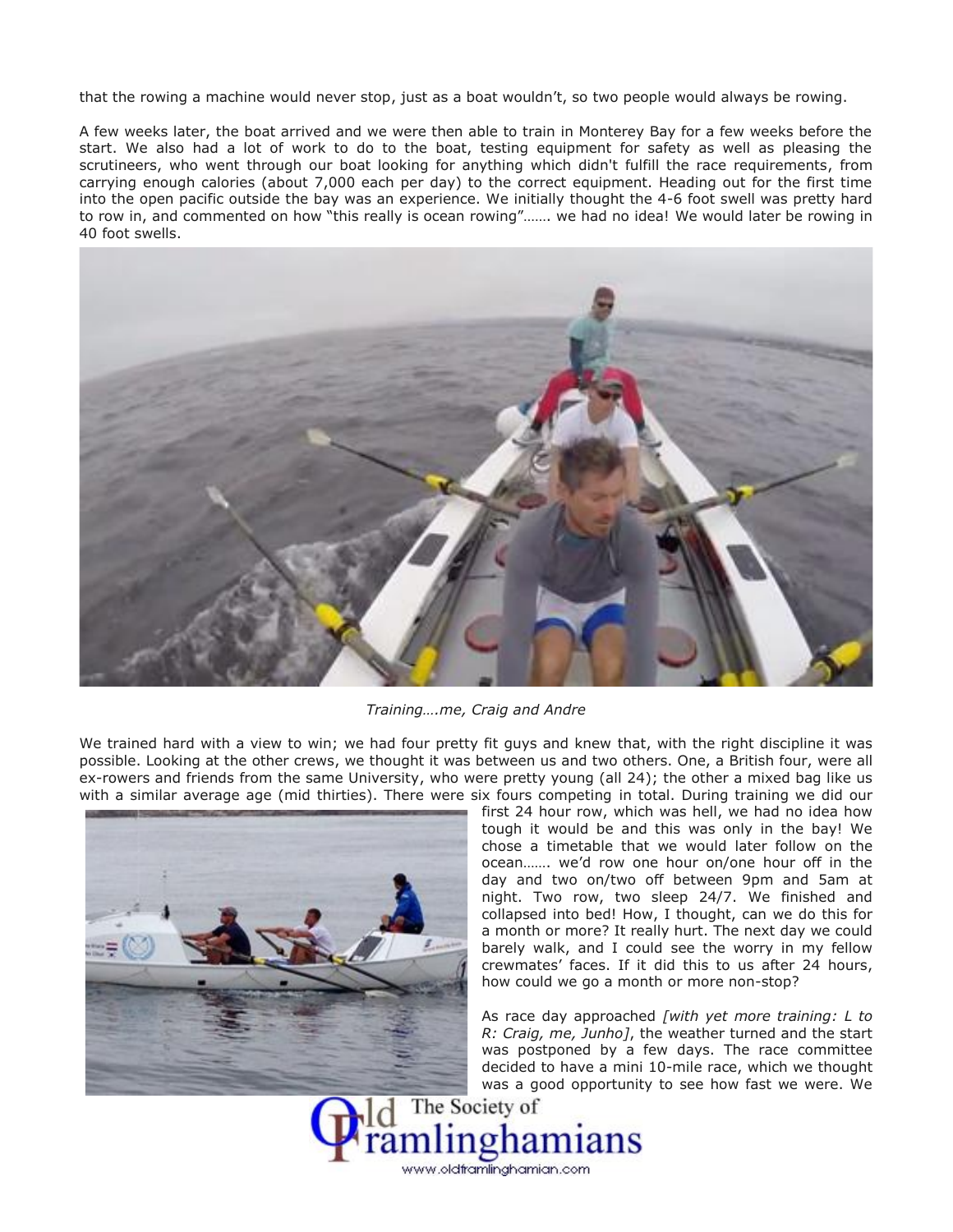that the rowing a machine would never stop, just as a boat wouldn't, so two people would always be rowing.

A few weeks later, the boat arrived and we were then able to train in Monterey Bay for a few weeks before the start. We also had a lot of work to do to the boat, testing equipment for safety as well as pleasing the scrutineers, who went through our boat looking for anything which didn't fulfill the race requirements, from carrying enough calories (about 7,000 each per day) to the correct equipment. Heading out for the first time into the open pacific outside the bay was an experience. We initially thought the 4-6 foot swell was pretty hard to row in, and commented on how "this really is ocean rowing"……. we had no idea! We would later be rowing in 40 foot swells.



*Training….me, Craig and Andre*

We trained hard with a view to win; we had four pretty fit guys and knew that, with the right discipline it was possible. Looking at the other crews, we thought it was between us and two others. One, a British four, were all ex-rowers and friends from the same University, who were pretty young (all 24); the other a mixed bag like us with a similar average age (mid thirties). There were six fours competing in total. During training we did our



first 24 hour row, which was hell, we had no idea how tough it would be and this was only in the bay! We chose a timetable that we would later follow on the ocean……. we'd row one hour on/one hour off in the day and two on/two off between 9pm and 5am at night. Two row, two sleep 24/7. We finished and collapsed into bed! How, I thought, can we do this for a month or more? It really hurt. The next day we could barely walk, and I could see the worry in my fellow crewmates' faces. If it did this to us after 24 hours, how could we go a month or more non-stop?

As race day approached *[with yet more training: L to R: Craig, me, Junho]*, the weather turned and the start was postponed by a few days. The race committee decided to have a mini 10-mile race, which we thought was a good opportunity to see how fast we were. We

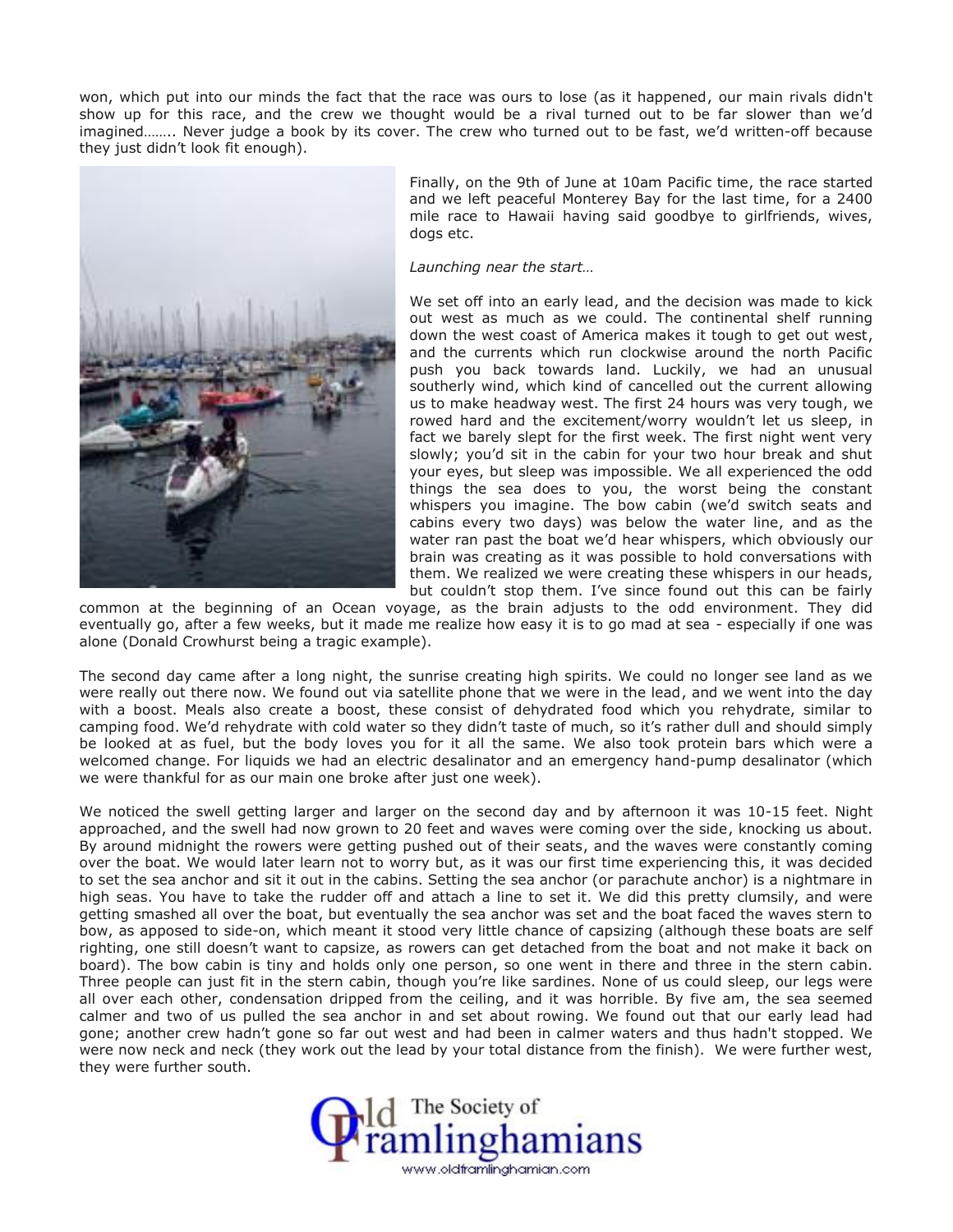won, which put into our minds the fact that the race was ours to lose (as it happened, our main rivals didn't show up for this race, and the crew we thought would be a rival turned out to be far slower than we'd imagined…….. Never judge a book by its cover. The crew who turned out to be fast, we'd written-off because they just didn't look fit enough).



Finally, on the 9th of June at 10am Pacific time, the race started and we left peaceful Monterey Bay for the last time, for a 2400 mile race to Hawaii having said goodbye to girlfriends, wives, dogs etc.

*Launching near the start…*

We set off into an early lead, and the decision was made to kick out west as much as we could. The continental shelf running down the west coast of America makes it tough to get out west, and the currents which run clockwise around the north Pacific push you back towards land. Luckily, we had an unusual southerly wind, which kind of cancelled out the current allowing us to make headway west. The first 24 hours was very tough, we rowed hard and the excitement/worry wouldn't let us sleep, in fact we barely slept for the first week. The first night went very slowly; you'd sit in the cabin for your two hour break and shut your eyes, but sleep was impossible. We all experienced the odd things the sea does to you, the worst being the constant whispers you imagine. The bow cabin (we'd switch seats and cabins every two days) was below the water line, and as the water ran past the boat we'd hear whispers, which obviously our brain was creating as it was possible to hold conversations with them. We realized we were creating these whispers in our heads, but couldn't stop them. I've since found out this can be fairly

common at the beginning of an Ocean voyage, as the brain adjusts to the odd environment. They did eventually go, after a few weeks, but it made me realize how easy it is to go mad at sea - especially if one was alone (Donald Crowhurst being a tragic example).

The second day came after a long night, the sunrise creating high spirits. We could no longer see land as we were really out there now. We found out via satellite phone that we were in the lead, and we went into the day with a boost. Meals also create a boost, these consist of dehydrated food which you rehydrate, similar to camping food. We'd rehydrate with cold water so they didn't taste of much, so it's rather dull and should simply be looked at as fuel, but the body loves you for it all the same. We also took protein bars which were a welcomed change. For liquids we had an electric desalinator and an emergency hand-pump desalinator (which we were thankful for as our main one broke after just one week).

We noticed the swell getting larger and larger on the second day and by afternoon it was 10-15 feet. Night approached, and the swell had now grown to 20 feet and waves were coming over the side, knocking us about. By around midnight the rowers were getting pushed out of their seats, and the waves were constantly coming over the boat. We would later learn not to worry but, as it was our first time experiencing this, it was decided to set the sea anchor and sit it out in the cabins. Setting the sea anchor (or parachute anchor) is a nightmare in high seas. You have to take the rudder off and attach a line to set it. We did this pretty clumsily, and were getting smashed all over the boat, but eventually the sea anchor was set and the boat faced the waves stern to bow, as apposed to side-on, which meant it stood very little chance of capsizing (although these boats are self righting, one still doesn't want to capsize, as rowers can get detached from the boat and not make it back on board). The bow cabin is tiny and holds only one person, so one went in there and three in the stern cabin. Three people can just fit in the stern cabin, though you're like sardines. None of us could sleep, our legs were all over each other, condensation dripped from the ceiling, and it was horrible. By five am, the sea seemed calmer and two of us pulled the sea anchor in and set about rowing. We found out that our early lead had gone; another crew hadn't gone so far out west and had been in calmer waters and thus hadn't stopped. We were now neck and neck (they work out the lead by your total distance from the finish). We were further west, they were further south.

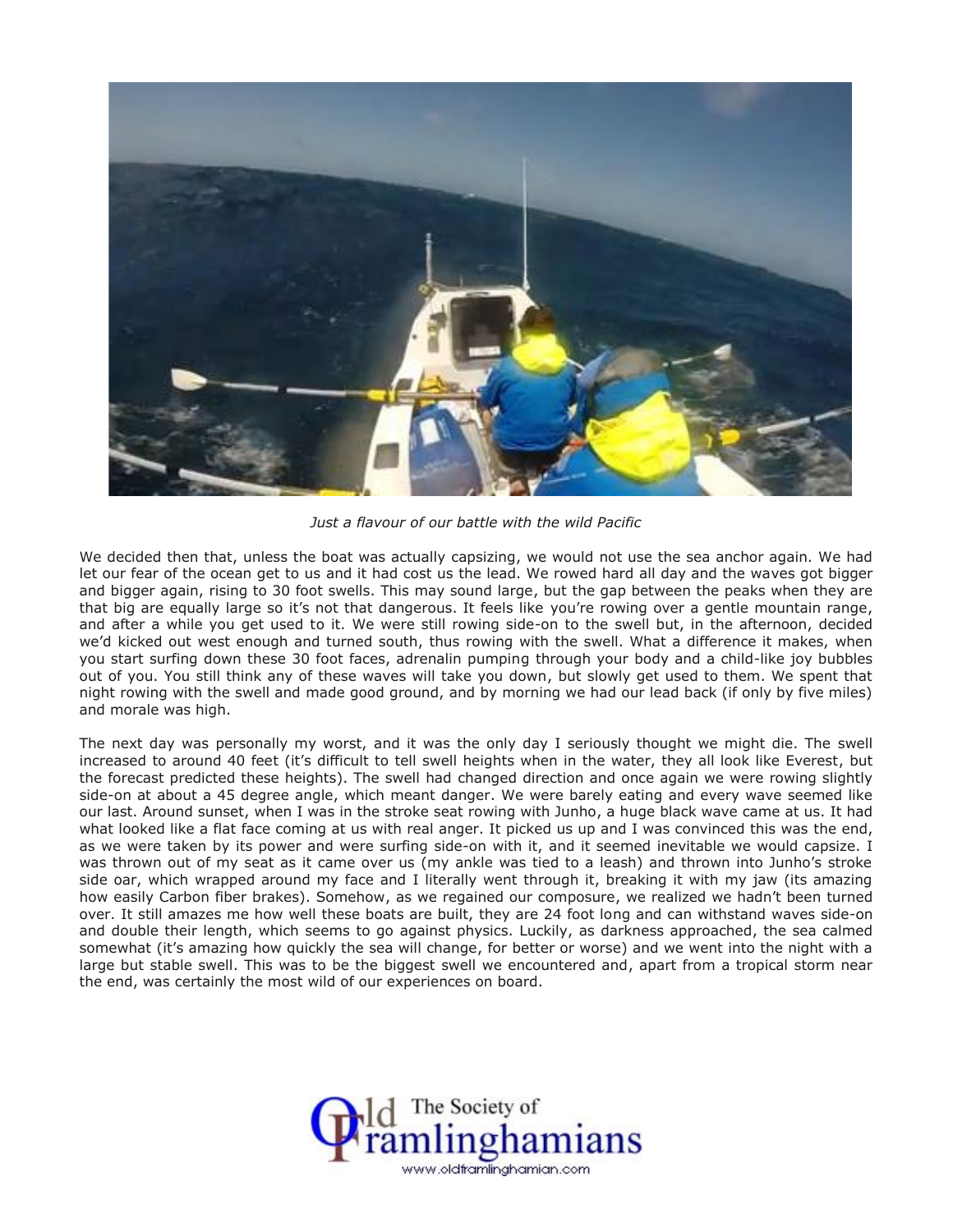

*Just a flavour of our battle with the wild Pacific*

We decided then that, unless the boat was actually capsizing, we would not use the sea anchor again. We had let our fear of the ocean get to us and it had cost us the lead. We rowed hard all day and the waves got bigger and bigger again, rising to 30 foot swells. This may sound large, but the gap between the peaks when they are that big are equally large so it's not that dangerous. It feels like you're rowing over a gentle mountain range, and after a while you get used to it. We were still rowing side-on to the swell but, in the afternoon, decided we'd kicked out west enough and turned south, thus rowing with the swell. What a difference it makes, when you start surfing down these 30 foot faces, adrenalin pumping through your body and a child-like joy bubbles out of you. You still think any of these waves will take you down, but slowly get used to them. We spent that night rowing with the swell and made good ground, and by morning we had our lead back (if only by five miles) and morale was high.

The next day was personally my worst, and it was the only day I seriously thought we might die. The swell increased to around 40 feet (it's difficult to tell swell heights when in the water, they all look like Everest, but the forecast predicted these heights). The swell had changed direction and once again we were rowing slightly side-on at about a 45 degree angle, which meant danger. We were barely eating and every wave seemed like our last. Around sunset, when I was in the stroke seat rowing with Junho, a huge black wave came at us. It had what looked like a flat face coming at us with real anger. It picked us up and I was convinced this was the end, as we were taken by its power and were surfing side-on with it, and it seemed inevitable we would capsize. I was thrown out of my seat as it came over us (my ankle was tied to a leash) and thrown into Junho's stroke side oar, which wrapped around my face and I literally went through it, breaking it with my jaw (its amazing how easily Carbon fiber brakes). Somehow, as we regained our composure, we realized we hadn't been turned over. It still amazes me how well these boats are built, they are 24 foot long and can withstand waves side-on and double their length, which seems to go against physics. Luckily, as darkness approached, the sea calmed somewhat (it's amazing how quickly the sea will change, for better or worse) and we went into the night with a large but stable swell. This was to be the biggest swell we encountered and, apart from a tropical storm near the end, was certainly the most wild of our experiences on board.

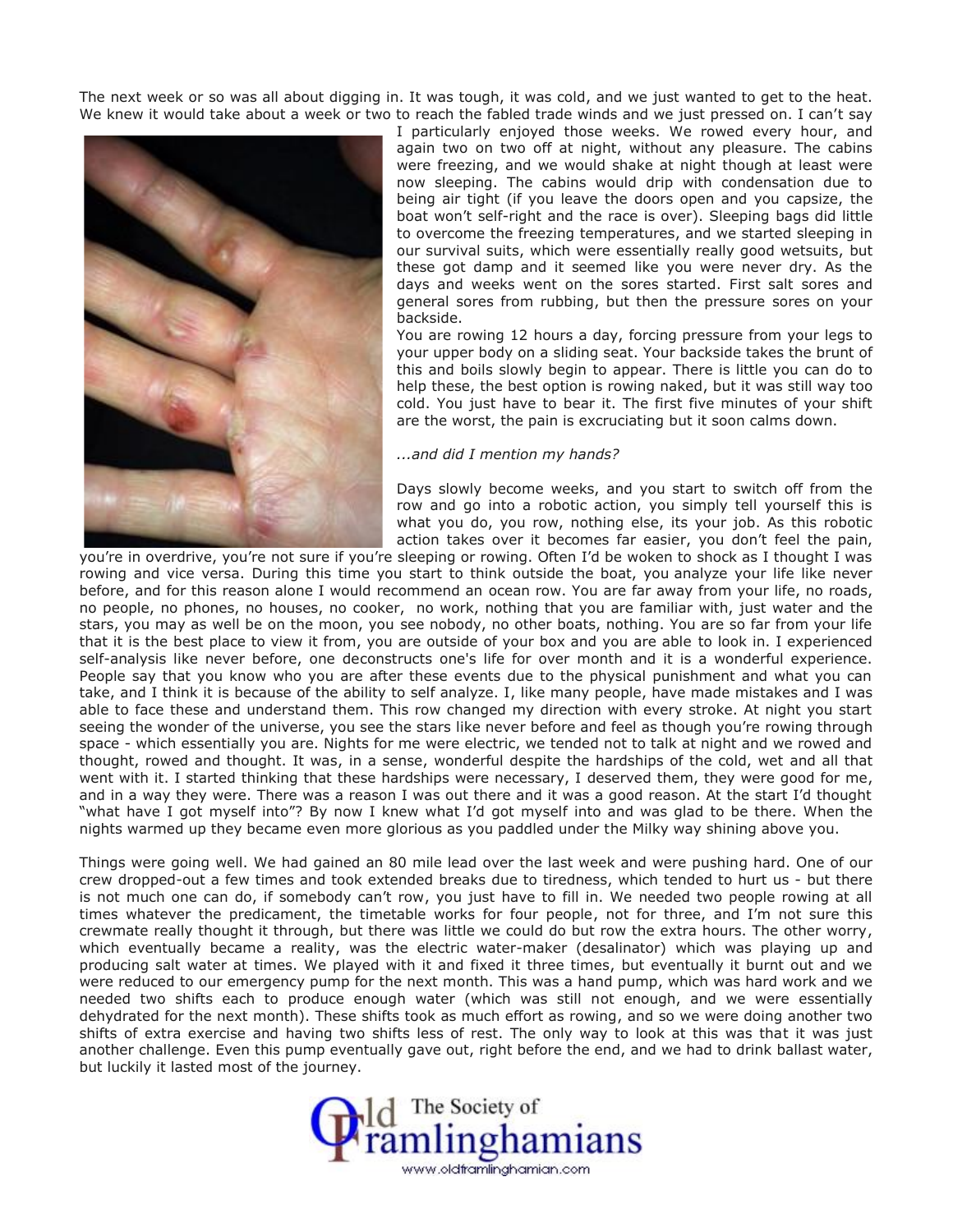The next week or so was all about digging in. It was tough, it was cold, and we just wanted to get to the heat. We knew it would take about a week or two to reach the fabled trade winds and we just pressed on. I can't say



I particularly enjoyed those weeks. We rowed every hour, and again two on two off at night, without any pleasure. The cabins were freezing, and we would shake at night though at least were now sleeping. The cabins would drip with condensation due to being air tight (if you leave the doors open and you capsize, the boat won't self-right and the race is over). Sleeping bags did little to overcome the freezing temperatures, and we started sleeping in our survival suits, which were essentially really good wetsuits, but these got damp and it seemed like you were never dry. As the days and weeks went on the sores started. First salt sores and general sores from rubbing, but then the pressure sores on your backside.

You are rowing 12 hours a day, forcing pressure from your legs to your upper body on a sliding seat. Your backside takes the brunt of this and boils slowly begin to appear. There is little you can do to help these, the best option is rowing naked, but it was still way too cold. You just have to bear it. The first five minutes of your shift are the worst, the pain is excruciating but it soon calms down.

## *...and did I mention my hands?*

Days slowly become weeks, and you start to switch off from the row and go into a robotic action, you simply tell yourself this is what you do, you row, nothing else, its your job. As this robotic action takes over it becomes far easier, you don't feel the pain,

you're in overdrive, you're not sure if you're sleeping or rowing. Often I'd be woken to shock as I thought I was rowing and vice versa. During this time you start to think outside the boat, you analyze your life like never before, and for this reason alone I would recommend an ocean row. You are far away from your life, no roads, no people, no phones, no houses, no cooker, no work, nothing that you are familiar with, just water and the stars, you may as well be on the moon, you see nobody, no other boats, nothing. You are so far from your life that it is the best place to view it from, you are outside of your box and you are able to look in. I experienced self-analysis like never before, one deconstructs one's life for over month and it is a wonderful experience. People say that you know who you are after these events due to the physical punishment and what you can take, and I think it is because of the ability to self analyze. I, like many people, have made mistakes and I was able to face these and understand them. This row changed my direction with every stroke. At night you start seeing the wonder of the universe, you see the stars like never before and feel as though you're rowing through space - which essentially you are. Nights for me were electric, we tended not to talk at night and we rowed and thought, rowed and thought. It was, in a sense, wonderful despite the hardships of the cold, wet and all that went with it. I started thinking that these hardships were necessary, I deserved them, they were good for me, and in a way they were. There was a reason I was out there and it was a good reason. At the start I'd thought "what have I got myself into"? By now I knew what I'd got myself into and was glad to be there. When the nights warmed up they became even more glorious as you paddled under the Milky way shining above you.

Things were going well. We had gained an 80 mile lead over the last week and were pushing hard. One of our crew dropped-out a few times and took extended breaks due to tiredness, which tended to hurt us - but there is not much one can do, if somebody can't row, you just have to fill in. We needed two people rowing at all times whatever the predicament, the timetable works for four people, not for three, and I'm not sure this crewmate really thought it through, but there was little we could do but row the extra hours. The other worry, which eventually became a reality, was the electric water-maker (desalinator) which was playing up and producing salt water at times. We played with it and fixed it three times, but eventually it burnt out and we were reduced to our emergency pump for the next month. This was a hand pump, which was hard work and we needed two shifts each to produce enough water (which was still not enough, and we were essentially dehydrated for the next month). These shifts took as much effort as rowing, and so we were doing another two shifts of extra exercise and having two shifts less of rest. The only way to look at this was that it was just another challenge. Even this pump eventually gave out, right before the end, and we had to drink ballast water, but luckily it lasted most of the journey.

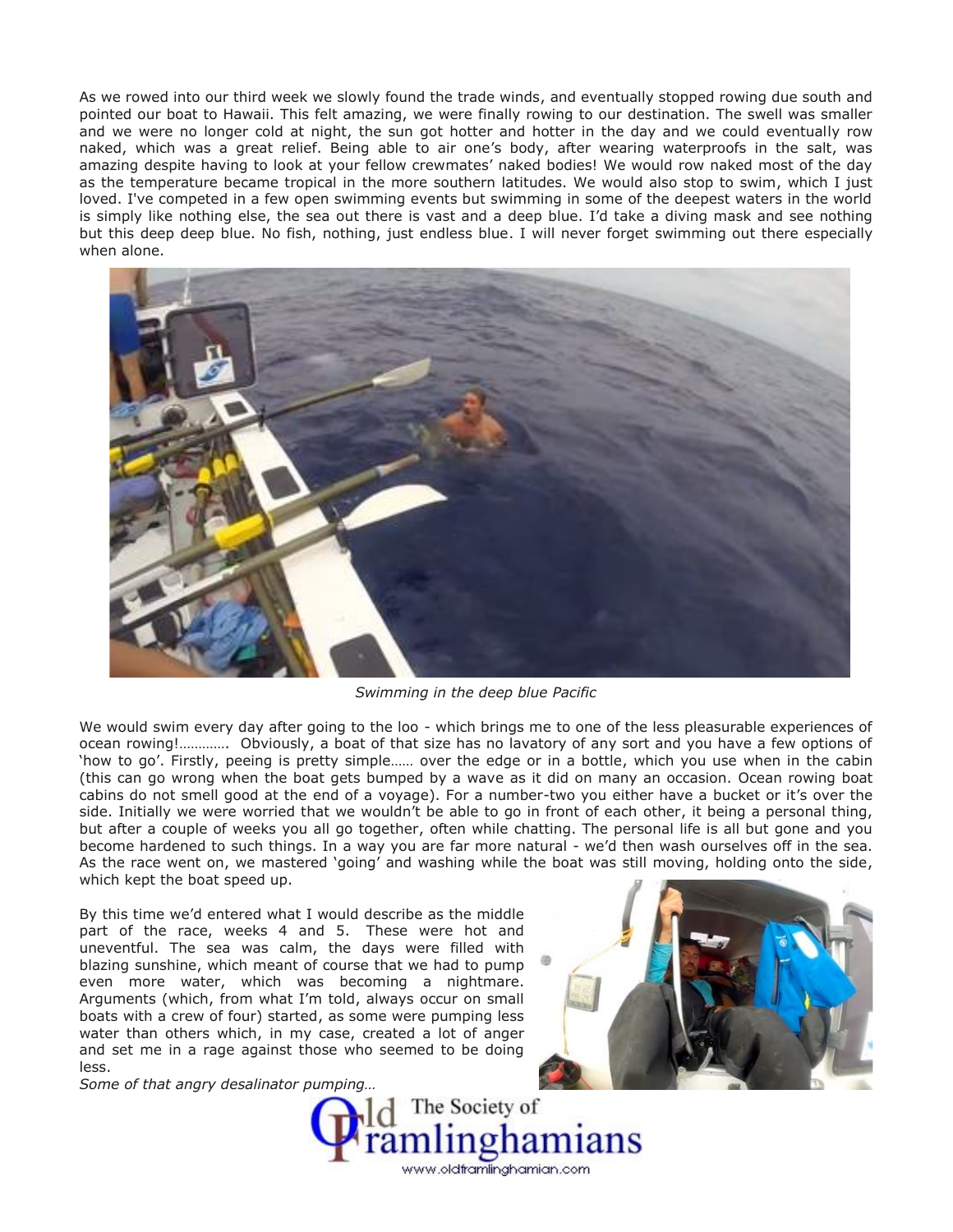As we rowed into our third week we slowly found the trade winds, and eventually stopped rowing due south and pointed our boat to Hawaii. This felt amazing, we were finally rowing to our destination. The swell was smaller and we were no longer cold at night, the sun got hotter and hotter in the day and we could eventually row naked, which was a great relief. Being able to air one's body, after wearing waterproofs in the salt, was amazing despite having to look at your fellow crewmates' naked bodies! We would row naked most of the day as the temperature became tropical in the more southern latitudes. We would also stop to swim, which I just loved. I've competed in a few open swimming events but swimming in some of the deepest waters in the world is simply like nothing else, the sea out there is vast and a deep blue. I'd take a diving mask and see nothing but this deep deep blue. No fish, nothing, just endless blue. I will never forget swimming out there especially when alone.



*Swimming in the deep blue Pacific*

We would swim every day after going to the loo - which brings me to one of the less pleasurable experiences of ocean rowing!…………. Obviously, a boat of that size has no lavatory of any sort and you have a few options of 'how to go'. Firstly, peeing is pretty simple…… over the edge or in a bottle, which you use when in the cabin (this can go wrong when the boat gets bumped by a wave as it did on many an occasion. Ocean rowing boat cabins do not smell good at the end of a voyage). For a number-two you either have a bucket or it's over the side. Initially we were worried that we wouldn't be able to go in front of each other, it being a personal thing, but after a couple of weeks you all go together, often while chatting. The personal life is all but gone and you become hardened to such things. In a way you are far more natural - we'd then wash ourselves off in the sea. As the race went on, we mastered 'going' and washing while the boat was still moving, holding onto the side, which kept the boat speed up.

By this time we'd entered what I would describe as the middle part of the race, weeks 4 and 5. These were hot and uneventful. The sea was calm, the days were filled with blazing sunshine, which meant of course that we had to pump even more water, which was becoming a nightmare. Arguments (which, from what I'm told, always occur on small boats with a crew of four) started, as some were pumping less water than others which, in my case, created a lot of anger and set me in a rage against those who seemed to be doing less.

*Some of that angry desalinator pumping…*



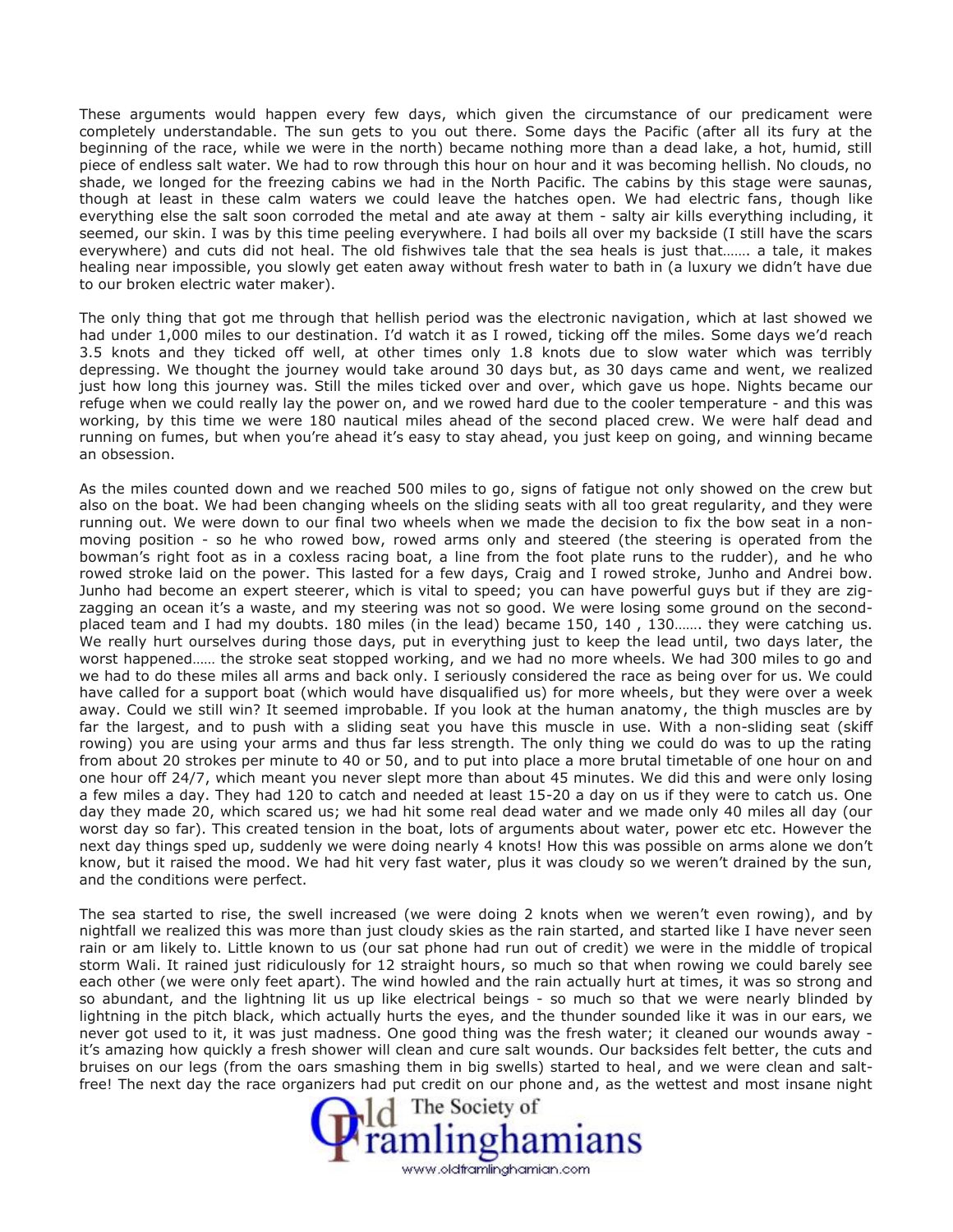These arguments would happen every few days, which given the circumstance of our predicament were completely understandable. The sun gets to you out there. Some days the Pacific (after all its fury at the beginning of the race, while we were in the north) became nothing more than a dead lake, a hot, humid, still piece of endless salt water. We had to row through this hour on hour and it was becoming hellish. No clouds, no shade, we longed for the freezing cabins we had in the North Pacific. The cabins by this stage were saunas, though at least in these calm waters we could leave the hatches open. We had electric fans, though like everything else the salt soon corroded the metal and ate away at them - salty air kills everything including, it seemed, our skin. I was by this time peeling everywhere. I had boils all over my backside (I still have the scars everywhere) and cuts did not heal. The old fishwives tale that the sea heals is just that……. a tale, it makes healing near impossible, you slowly get eaten away without fresh water to bath in (a luxury we didn't have due to our broken electric water maker).

The only thing that got me through that hellish period was the electronic navigation, which at last showed we had under 1,000 miles to our destination. I'd watch it as I rowed, ticking off the miles. Some days we'd reach 3.5 knots and they ticked off well, at other times only 1.8 knots due to slow water which was terribly depressing. We thought the journey would take around 30 days but, as 30 days came and went, we realized just how long this journey was. Still the miles ticked over and over, which gave us hope. Nights became our refuge when we could really lay the power on, and we rowed hard due to the cooler temperature - and this was working, by this time we were 180 nautical miles ahead of the second placed crew. We were half dead and running on fumes, but when you're ahead it's easy to stay ahead, you just keep on going, and winning became an obsession.

As the miles counted down and we reached 500 miles to go, signs of fatigue not only showed on the crew but also on the boat. We had been changing wheels on the sliding seats with all too great regularity, and they were running out. We were down to our final two wheels when we made the decision to fix the bow seat in a non moving position - so he who rowed bow, rowed arms only and steered (the steering is operated from the bowman's right foot as in a coxless racing boat, a line from the foot plate runs to the rudder), and he who rowed stroke laid on the power. This lasted for a few days, Craig and I rowed stroke, Junho and Andrei bow. Junho had become an expert steerer, which is vital to speed; you can have powerful guys but if they are zig zagging an ocean it's a waste, and my steering was not so good. We were losing some ground on the second placed team and I had my doubts. 180 miles (in the lead) became 150, 140 , 130……. they were catching us. We really hurt ourselves during those days, put in everything just to keep the lead until, two days later, the worst happened…… the stroke seat stopped working, and we had no more wheels. We had 300 miles to go and we had to do these miles all arms and back only. I seriously considered the race as being over for us. We could have called for a support boat (which would have disqualified us) for more wheels, but they were over a week away. Could we still win? It seemed improbable. If you look at the human anatomy, the thigh muscles are by far the largest, and to push with a sliding seat you have this muscle in use. With a non-sliding seat (skiff rowing) you are using your arms and thus far less strength. The only thing we could do was to up the rating from about 20 strokes per minute to 40 or 50, and to put into place a more brutal timetable of one hour on and one hour off 24/7, which meant you never slept more than about 45 minutes. We did this and were only losing a few miles a day. They had 120 to catch and needed at least 15-20 a day on us if they were to catch us. One day they made 20, which scared us; we had hit some real dead water and we made only 40 miles all day (our worst day so far). This created tension in the boat, lots of arguments about water, power etc etc. However the next day things sped up, suddenly we were doing nearly 4 knots! How this was possible on arms alone we don't know, but it raised the mood. We had hit very fast water, plus it was cloudy so we weren't drained by the sun, and the conditions were perfect.

The sea started to rise, the swell increased (we were doing 2 knots when we weren't even rowing), and by nightfall we realized this was more than just cloudy skies as the rain started, and started like I have never seen rain or am likely to. Little known to us (our sat phone had run out of credit) we were in the middle of tropical storm Wali. It rained just ridiculously for 12 straight hours, so much so that when rowing we could barely see each other (we were only feet apart). The wind howled and the rain actually hurt at times, it was so strong and so abundant, and the lightning lit us up like electrical beings - so much so that we were nearly blinded by lightning in the pitch black, which actually hurts the eyes, and the thunder sounded like it was in our ears, we never got used to it, it was just madness. One good thing was the fresh water; it cleaned our wounds away it's amazing how quickly a fresh shower will clean and cure salt wounds. Our backsides felt better, the cuts and bruises on our legs (from the oars smashing them in big swells) started to heal, and we were clean and saltfree! The next day the race organizers had put credit on our phone and, as the wettest and most insane night

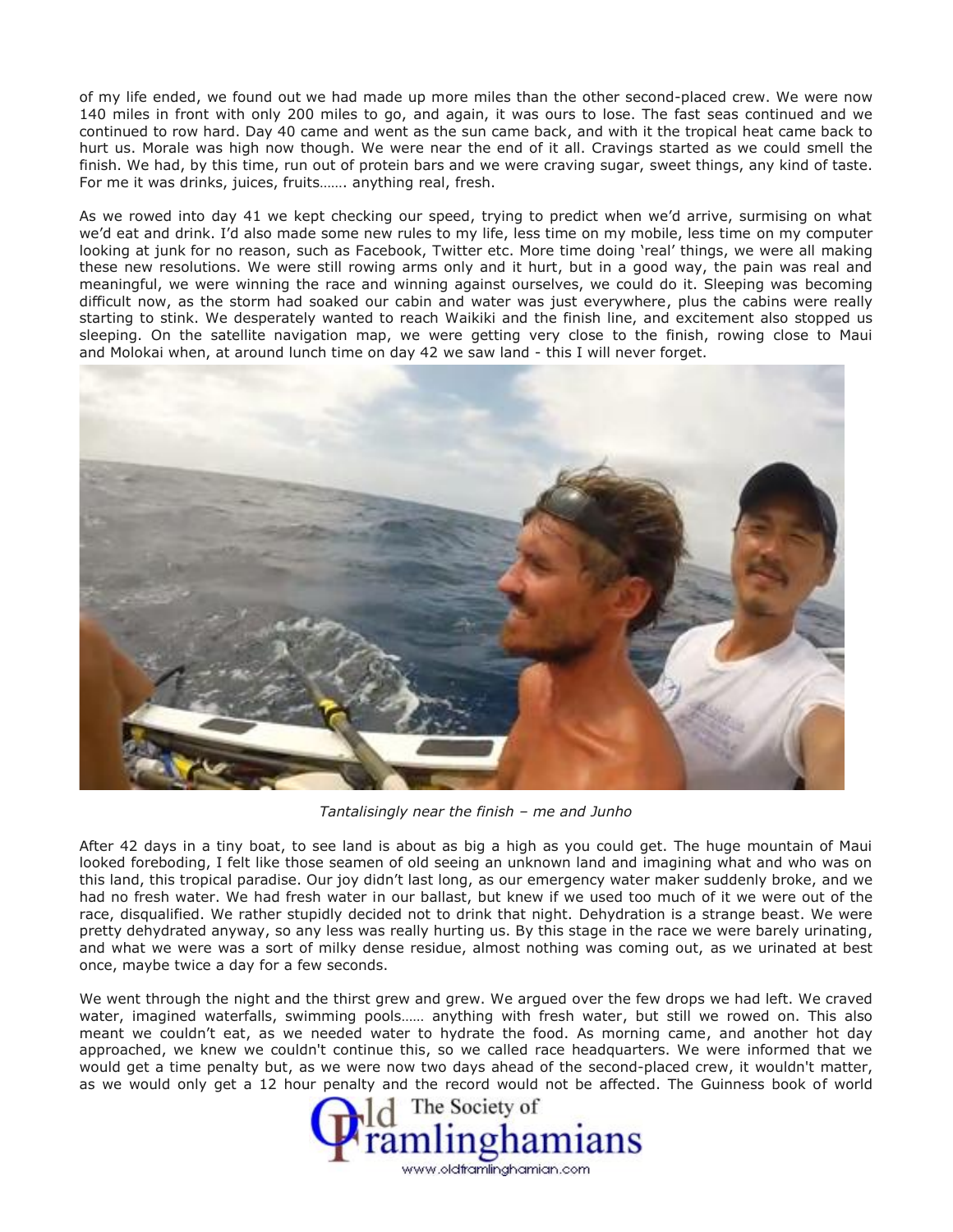of my life ended, we found out we had made up more miles than the other second-placed crew. We were now 140 miles in front with only 200 miles to go, and again, it was ours to lose. The fast seas continued and we continued to row hard. Day 40 came and went as the sun came back, and with it the tropical heat came back to hurt us. Morale was high now though. We were near the end of it all. Cravings started as we could smell the finish. We had, by this time, run out of protein bars and we were craving sugar, sweet things, any kind of taste. For me it was drinks, juices, fruits……. anything real, fresh.

As we rowed into day 41 we kept checking our speed, trying to predict when we'd arrive, surmising on what we'd eat and drink. I'd also made some new rules to my life, less time on my mobile, less time on my computer looking at junk for no reason, such as Facebook, Twitter etc. More time doing 'real' things, we were all making these new resolutions. We were still rowing arms only and it hurt, but in a good way, the pain was real and meaningful, we were winning the race and winning against ourselves, we could do it. Sleeping was becoming difficult now, as the storm had soaked our cabin and water was just everywhere, plus the cabins were really starting to stink. We desperately wanted to reach Waikiki and the finish line, and excitement also stopped us sleeping. On the satellite navigation map, we were getting very close to the finish, rowing close to Maui and Molokai when, at around lunch time on day 42 we saw land - this I will never forget.



*Tantalisingly near the finish – me and Junho*

After 42 days in a tiny boat, to see land is about as big a high as you could get. The huge mountain of Maui looked foreboding, I felt like those seamen of old seeing an unknown land and imagining what and who was on this land, this tropical paradise. Our joy didn't last long, as our emergency water maker suddenly broke, and we had no fresh water. We had fresh water in our ballast, but knew if we used too much of it we were out of the race, disqualified. We rather stupidly decided not to drink that night. Dehydration is a strange beast. We were pretty dehydrated anyway, so any less was really hurting us. By this stage in the race we were barely urinating, and what we were was a sort of milky dense residue, almost nothing was coming out, as we urinated at best once, maybe twice a day for a few seconds.

We went through the night and the thirst grew and grew. We argued over the few drops we had left. We craved water, imagined waterfalls, swimming pools…… anything with fresh water, but still we rowed on. This also meant we couldn't eat, as we needed water to hydrate the food. As morning came, and another hot day approached, we knew we couldn't continue this, so we called race headquarters. We were informed that we would get a time penalty but, as we were now two days ahead of the second-placed crew, it wouldn't matter, as we would only get a 12 hour penalty and the record would not be affected. The Guinness book of world

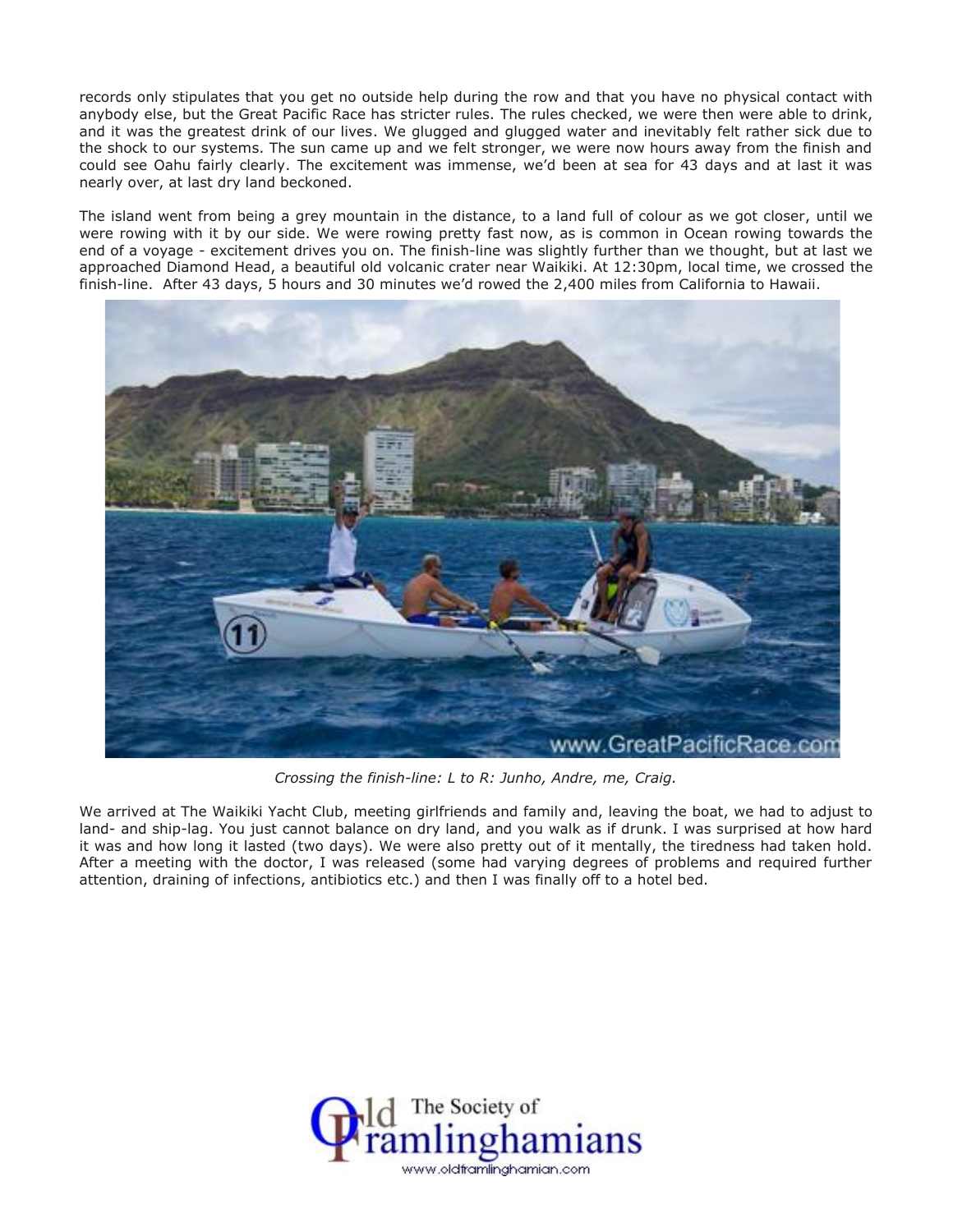records only stipulates that you get no outside help during the row and that you have no physical contact with anybody else, but the Great Pacific Race has stricter rules. The rules checked, we were then were able to drink, and it was the greatest drink of our lives. We glugged and glugged water and inevitably felt rather sick due to the shock to our systems. The sun came up and we felt stronger, we were now hours away from the finish and could see Oahu fairly clearly. The excitement was immense, we'd been at sea for 43 days and at last it was nearly over, at last dry land beckoned.

The island went from being a grey mountain in the distance, to a land full of colour as we got closer, until we were rowing with it by our side. We were rowing pretty fast now, as is common in Ocean rowing towards the end of a voyage - excitement drives you on. The finish-line was slightly further than we thought, but at last we approached Diamond Head, a beautiful old volcanic crater near Waikiki. At 12:30pm, local time, we crossed the finish-line. After 43 days, 5 hours and 30 minutes we'd rowed the 2,400 miles from California to Hawaii.



*Crossing the finish-line: L to R: Junho, Andre, me, Craig.*

We arrived at The Waikiki Yacht Club, meeting girlfriends and family and, leaving the boat, we had to adjust to land- and ship-lag. You just cannot balance on dry land, and you walk as if drunk. I was surprised at how hard it was and how long it lasted (two days). We were also pretty out of it mentally, the tiredness had taken hold. After a meeting with the doctor, I was released (some had varying degrees of problems and required further attention, draining of infections, antibiotics etc.) and then I was finally off to a hotel bed.